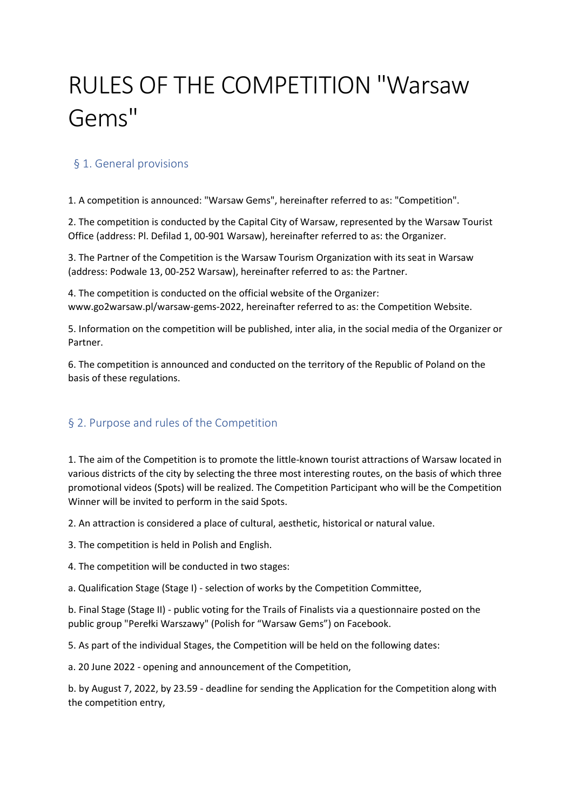# RULES OF THE COMPETITION "Warsaw Gems"

# § 1. General provisions

1. A competition is announced: "Warsaw Gems", hereinafter referred to as: "Competition".

2. The competition is conducted by the Capital City of Warsaw, represented by the Warsaw Tourist Office (address: Pl. Defilad 1, 00-901 Warsaw), hereinafter referred to as: the Organizer.

3. The Partner of the Competition is the Warsaw Tourism Organization with its seat in Warsaw (address: Podwale 13, 00-252 Warsaw), hereinafter referred to as: the Partner.

4. The competition is conducted on the official website of the Organizer: www.go2warsaw.pl/warsaw-gems-2022, hereinafter referred to as: the Competition Website.

5. Information on the competition will be published, inter alia, in the social media of the Organizer or Partner.

6. The competition is announced and conducted on the territory of the Republic of Poland on the basis of these regulations.

# § 2. Purpose and rules of the Competition

1. The aim of the Competition is to promote the little-known tourist attractions of Warsaw located in various districts of the city by selecting the three most interesting routes, on the basis of which three promotional videos (Spots) will be realized. The Competition Participant who will be the Competition Winner will be invited to perform in the said Spots.

2. An attraction is considered a place of cultural, aesthetic, historical or natural value.

3. The competition is held in Polish and English.

4. The competition will be conducted in two stages:

a. Qualification Stage (Stage I) - selection of works by the Competition Committee,

b. Final Stage (Stage II) - public voting for the Trails of Finalists via a questionnaire posted on the public group "Perełki Warszawy" (Polish for "Warsaw Gems") on Facebook.

5. As part of the individual Stages, the Competition will be held on the following dates:

a. 20 June 2022 - opening and announcement of the Competition,

b. by August 7, 2022, by 23.59 - deadline for sending the Application for the Competition along with the competition entry,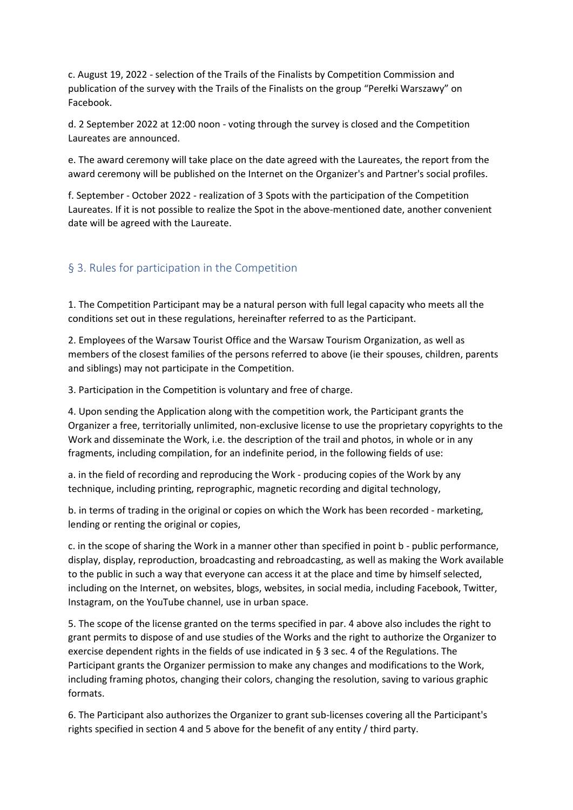c. August 19, 2022 - selection of the Trails of the Finalists by Competition Commission and publication of the survey with the Trails of the Finalists on the group "Perełki Warszawy" on Facebook.

d. 2 September 2022 at 12:00 noon - voting through the survey is closed and the Competition Laureates are announced.

e. The award ceremony will take place on the date agreed with the Laureates, the report from the award ceremony will be published on the Internet on the Organizer's and Partner's social profiles.

f. September - October 2022 - realization of 3 Spots with the participation of the Competition Laureates. If it is not possible to realize the Spot in the above-mentioned date, another convenient date will be agreed with the Laureate.

## § 3. Rules for participation in the Competition

1. The Competition Participant may be a natural person with full legal capacity who meets all the conditions set out in these regulations, hereinafter referred to as the Participant.

2. Employees of the Warsaw Tourist Office and the Warsaw Tourism Organization, as well as members of the closest families of the persons referred to above (ie their spouses, children, parents and siblings) may not participate in the Competition.

3. Participation in the Competition is voluntary and free of charge.

4. Upon sending the Application along with the competition work, the Participant grants the Organizer a free, territorially unlimited, non-exclusive license to use the proprietary copyrights to the Work and disseminate the Work, i.e. the description of the trail and photos, in whole or in any fragments, including compilation, for an indefinite period, in the following fields of use:

a. in the field of recording and reproducing the Work - producing copies of the Work by any technique, including printing, reprographic, magnetic recording and digital technology,

b. in terms of trading in the original or copies on which the Work has been recorded - marketing, lending or renting the original or copies,

c. in the scope of sharing the Work in a manner other than specified in point b - public performance, display, display, reproduction, broadcasting and rebroadcasting, as well as making the Work available to the public in such a way that everyone can access it at the place and time by himself selected, including on the Internet, on websites, blogs, websites, in social media, including Facebook, Twitter, Instagram, on the YouTube channel, use in urban space.

5. The scope of the license granted on the terms specified in par. 4 above also includes the right to grant permits to dispose of and use studies of the Works and the right to authorize the Organizer to exercise dependent rights in the fields of use indicated in § 3 sec. 4 of the Regulations. The Participant grants the Organizer permission to make any changes and modifications to the Work, including framing photos, changing their colors, changing the resolution, saving to various graphic formats.

6. The Participant also authorizes the Organizer to grant sub-licenses covering all the Participant's rights specified in section 4 and 5 above for the benefit of any entity / third party.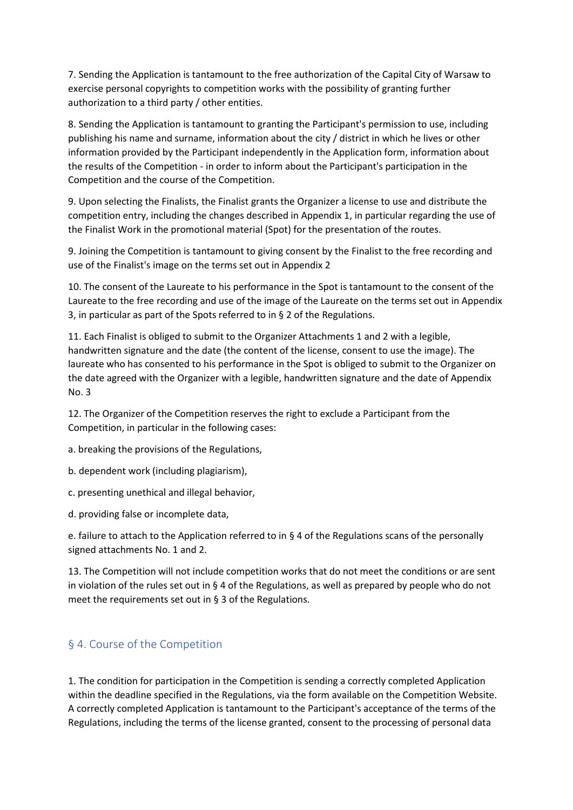7. Sending the Application is tantamount to the free authorization of the Capital City of Warsaw to exercise personal copyrights to competition works with the possibility of granting further authorization to a third party / other entities.

8. Sending the Application is tantamount to granting the Participant's permission to use, including publishing his name and surname, information about the city / district in which he lives or other information provided by the Participant independently in the Application form, information about the results of the Competition - in order to inform about the Participant's participation in the Competition and the course of the Competition.

9. Upon selecting the Finalists, the Finalist grants the Organizer a license to use and distribute the competition entry, including the changes described in Appendix 1, in particular regarding the use of the Finalist Work in the promotional material (Spot) for the presentation of the routes.

9. Joining the Competition is tantamount to giving consent by the Finalist to the free recording and use of the Finalist's image on the terms set out in Appendix 2

10. The consent of the Laureate to his performance in the Spot is tantamount to the consent of the Laureate to the free recording and use of the image of the Laureate on the terms set out in Appendix 3, in particular as part of the Spots referred to in § 2 of the Regulations.

11. Each Finalist is obliged to submit to the Organizer Attachments 1 and 2 with a legible, handwritten signature and the date (the content of the license, consent to use the image). The laureate who has consented to his performance in the Spot is obliged to submit to the Organizer on the date agreed with the Organizer with a legible, handwritten signature and the date of Appendix No. 3

12. The Organizer of the Competition reserves the right to exclude a Participant from the Competition, in particular in the following cases:

a. breaking the provisions of the Regulations,

b. dependent work (including plagiarism),

c. presenting unethical and illegal behavior,

d. providing false or incomplete data,

e. failure to attach to the Application referred to in § 4 of the Regulations scans of the personally signed attachments No. 1 and 2.

13. The Competition will not include competition works that do not meet the conditions or are sent in violation of the rules set out in § 4 of the Regulations, as well as prepared by people who do not meet the requirements set out in § 3 of the Regulations.

## § 4. Course of the Competition

1. The condition for participation in the Competition is sending a correctly completed Application within the deadline specified in the Regulations, via the form available on the Competition Website. A correctly completed Application is tantamount to the Participant's acceptance of the terms of the Regulations, including the terms of the license granted, consent to the processing of personal data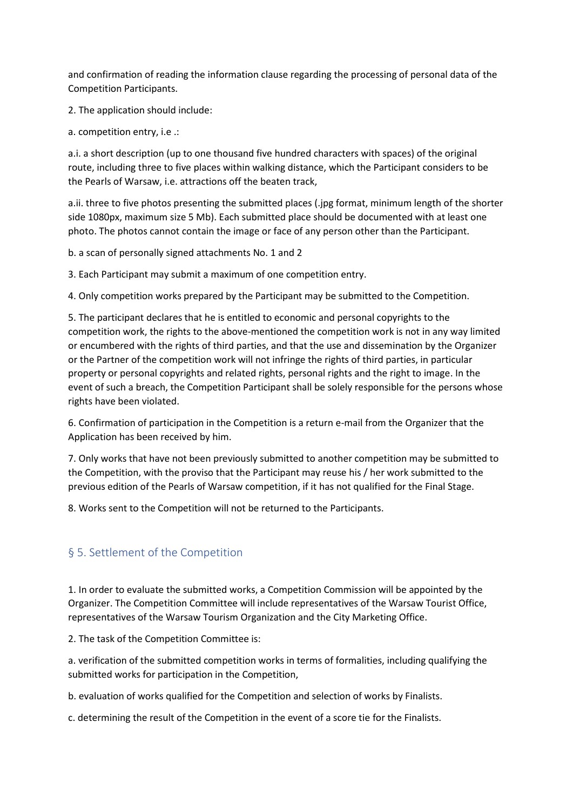and confirmation of reading the information clause regarding the processing of personal data of the Competition Participants.

2. The application should include:

a. competition entry, i.e .:

a.i. a short description (up to one thousand five hundred characters with spaces) of the original route, including three to five places within walking distance, which the Participant considers to be the Pearls of Warsaw, i.e. attractions off the beaten track,

a.ii. three to five photos presenting the submitted places (.jpg format, minimum length of the shorter side 1080px, maximum size 5 Mb). Each submitted place should be documented with at least one photo. The photos cannot contain the image or face of any person other than the Participant.

b. a scan of personally signed attachments No. 1 and 2

3. Each Participant may submit a maximum of one competition entry.

4. Only competition works prepared by the Participant may be submitted to the Competition.

5. The participant declares that he is entitled to economic and personal copyrights to the competition work, the rights to the above-mentioned the competition work is not in any way limited or encumbered with the rights of third parties, and that the use and dissemination by the Organizer or the Partner of the competition work will not infringe the rights of third parties, in particular property or personal copyrights and related rights, personal rights and the right to image. In the event of such a breach, the Competition Participant shall be solely responsible for the persons whose rights have been violated.

6. Confirmation of participation in the Competition is a return e-mail from the Organizer that the Application has been received by him.

7. Only works that have not been previously submitted to another competition may be submitted to the Competition, with the proviso that the Participant may reuse his / her work submitted to the previous edition of the Pearls of Warsaw competition, if it has not qualified for the Final Stage.

8. Works sent to the Competition will not be returned to the Participants.

## § 5. Settlement of the Competition

1. In order to evaluate the submitted works, a Competition Commission will be appointed by the Organizer. The Competition Committee will include representatives of the Warsaw Tourist Office, representatives of the Warsaw Tourism Organization and the City Marketing Office.

2. The task of the Competition Committee is:

a. verification of the submitted competition works in terms of formalities, including qualifying the submitted works for participation in the Competition,

b. evaluation of works qualified for the Competition and selection of works by Finalists.

c. determining the result of the Competition in the event of a score tie for the Finalists.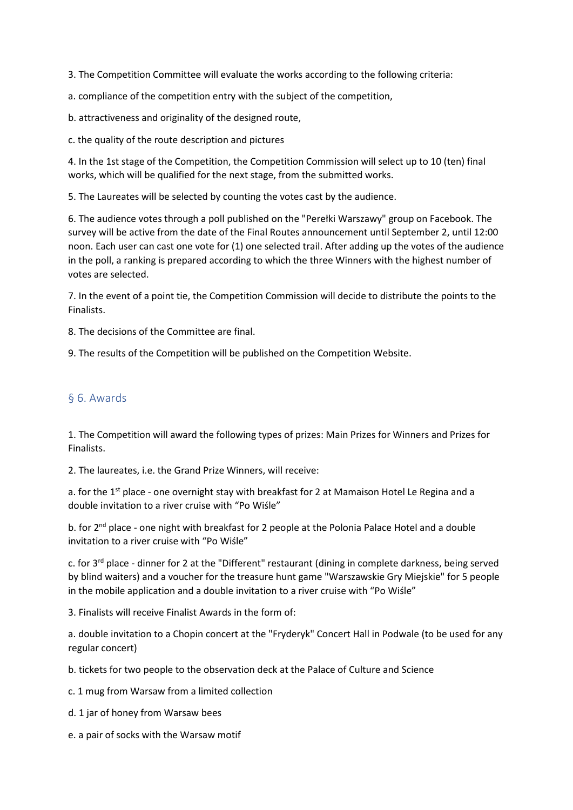3. The Competition Committee will evaluate the works according to the following criteria:

a. compliance of the competition entry with the subject of the competition,

b. attractiveness and originality of the designed route,

c. the quality of the route description and pictures

4. In the 1st stage of the Competition, the Competition Commission will select up to 10 (ten) final works, which will be qualified for the next stage, from the submitted works.

5. The Laureates will be selected by counting the votes cast by the audience.

6. The audience votes through a poll published on the "Perełki Warszawy" group on Facebook. The survey will be active from the date of the Final Routes announcement until September 2, until 12:00 noon. Each user can cast one vote for (1) one selected trail. After adding up the votes of the audience in the poll, a ranking is prepared according to which the three Winners with the highest number of votes are selected.

7. In the event of a point tie, the Competition Commission will decide to distribute the points to the Finalists.

8. The decisions of the Committee are final.

9. The results of the Competition will be published on the Competition Website.

#### § 6. Awards

1. The Competition will award the following types of prizes: Main Prizes for Winners and Prizes for Finalists.

2. The laureates, i.e. the Grand Prize Winners, will receive:

a. for the 1<sup>st</sup> place - one overnight stay with breakfast for 2 at Mamaison Hotel Le Regina and a double invitation to a river cruise with "Po Wiśle"

b. for 2<sup>nd</sup> place - one night with breakfast for 2 people at the Polonia Palace Hotel and a double invitation to a river cruise with "Po Wiśle"

c. for 3rd place - dinner for 2 at the "Different" restaurant (dining in complete darkness, being served by blind waiters) and a voucher for the treasure hunt game "Warszawskie Gry Miejskie" for 5 people in the mobile application and a double invitation to a river cruise with "Po Wiśle"

3. Finalists will receive Finalist Awards in the form of:

a. double invitation to a Chopin concert at the "Fryderyk" Concert Hall in Podwale (to be used for any regular concert)

b. tickets for two people to the observation deck at the Palace of Culture and Science

c. 1 mug from Warsaw from a limited collection

d. 1 jar of honey from Warsaw bees

e. a pair of socks with the Warsaw motif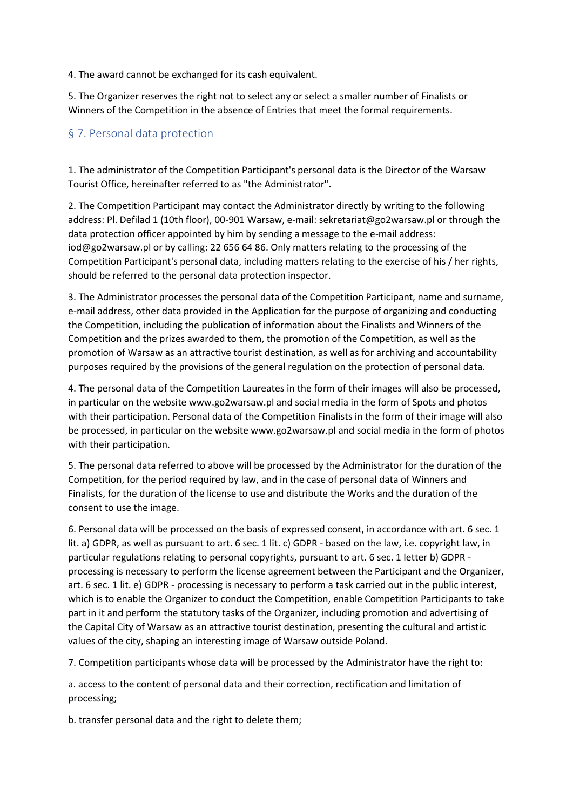4. The award cannot be exchanged for its cash equivalent.

5. The Organizer reserves the right not to select any or select a smaller number of Finalists or Winners of the Competition in the absence of Entries that meet the formal requirements.

## § 7. Personal data protection

1. The administrator of the Competition Participant's personal data is the Director of the Warsaw Tourist Office, hereinafter referred to as "the Administrator".

2. The Competition Participant may contact the Administrator directly by writing to the following address: Pl. Defilad 1 (10th floor), 00-901 Warsaw, e-mail: sekretariat@go2warsaw.pl or through the data protection officer appointed by him by sending a message to the e-mail address: iod@go2warsaw.pl or by calling: 22 656 64 86. Only matters relating to the processing of the Competition Participant's personal data, including matters relating to the exercise of his / her rights, should be referred to the personal data protection inspector.

3. The Administrator processes the personal data of the Competition Participant, name and surname, e-mail address, other data provided in the Application for the purpose of organizing and conducting the Competition, including the publication of information about the Finalists and Winners of the Competition and the prizes awarded to them, the promotion of the Competition, as well as the promotion of Warsaw as an attractive tourist destination, as well as for archiving and accountability purposes required by the provisions of the general regulation on the protection of personal data.

4. The personal data of the Competition Laureates in the form of their images will also be processed, in particular on the website www.go2warsaw.pl and social media in the form of Spots and photos with their participation. Personal data of the Competition Finalists in the form of their image will also be processed, in particular on the website www.go2warsaw.pl and social media in the form of photos with their participation.

5. The personal data referred to above will be processed by the Administrator for the duration of the Competition, for the period required by law, and in the case of personal data of Winners and Finalists, for the duration of the license to use and distribute the Works and the duration of the consent to use the image.

6. Personal data will be processed on the basis of expressed consent, in accordance with art. 6 sec. 1 lit. a) GDPR, as well as pursuant to art. 6 sec. 1 lit. c) GDPR - based on the law, i.e. copyright law, in particular regulations relating to personal copyrights, pursuant to art. 6 sec. 1 letter b) GDPR processing is necessary to perform the license agreement between the Participant and the Organizer, art. 6 sec. 1 lit. e) GDPR - processing is necessary to perform a task carried out in the public interest, which is to enable the Organizer to conduct the Competition, enable Competition Participants to take part in it and perform the statutory tasks of the Organizer, including promotion and advertising of the Capital City of Warsaw as an attractive tourist destination, presenting the cultural and artistic values of the city, shaping an interesting image of Warsaw outside Poland.

7. Competition participants whose data will be processed by the Administrator have the right to:

a. access to the content of personal data and their correction, rectification and limitation of processing;

b. transfer personal data and the right to delete them;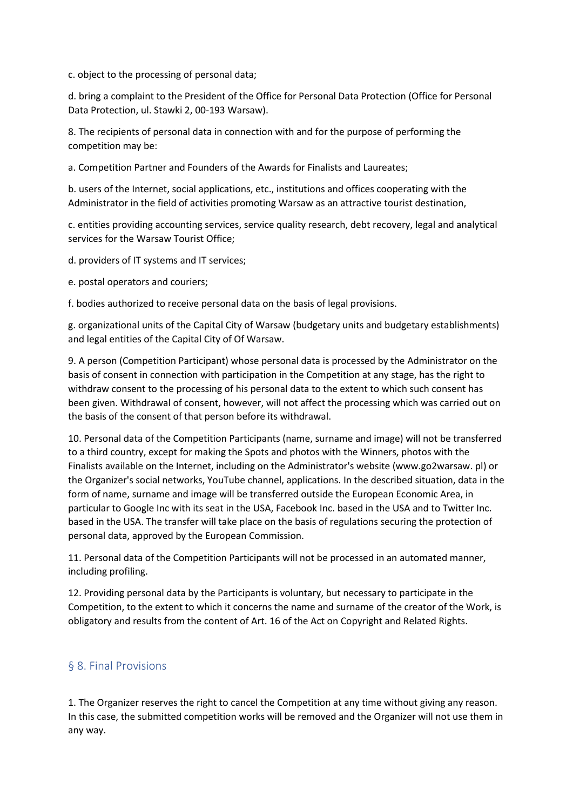c. object to the processing of personal data;

d. bring a complaint to the President of the Office for Personal Data Protection (Office for Personal Data Protection, ul. Stawki 2, 00-193 Warsaw).

8. The recipients of personal data in connection with and for the purpose of performing the competition may be:

a. Competition Partner and Founders of the Awards for Finalists and Laureates;

b. users of the Internet, social applications, etc., institutions and offices cooperating with the Administrator in the field of activities promoting Warsaw as an attractive tourist destination,

c. entities providing accounting services, service quality research, debt recovery, legal and analytical services for the Warsaw Tourist Office;

d. providers of IT systems and IT services;

e. postal operators and couriers;

f. bodies authorized to receive personal data on the basis of legal provisions.

g. organizational units of the Capital City of Warsaw (budgetary units and budgetary establishments) and legal entities of the Capital City of Of Warsaw.

9. A person (Competition Participant) whose personal data is processed by the Administrator on the basis of consent in connection with participation in the Competition at any stage, has the right to withdraw consent to the processing of his personal data to the extent to which such consent has been given. Withdrawal of consent, however, will not affect the processing which was carried out on the basis of the consent of that person before its withdrawal.

10. Personal data of the Competition Participants (name, surname and image) will not be transferred to a third country, except for making the Spots and photos with the Winners, photos with the Finalists available on the Internet, including on the Administrator's website (www.go2warsaw. pl) or the Organizer's social networks, YouTube channel, applications. In the described situation, data in the form of name, surname and image will be transferred outside the European Economic Area, in particular to Google Inc with its seat in the USA, Facebook Inc. based in the USA and to Twitter Inc. based in the USA. The transfer will take place on the basis of regulations securing the protection of personal data, approved by the European Commission.

11. Personal data of the Competition Participants will not be processed in an automated manner, including profiling.

12. Providing personal data by the Participants is voluntary, but necessary to participate in the Competition, to the extent to which it concerns the name and surname of the creator of the Work, is obligatory and results from the content of Art. 16 of the Act on Copyright and Related Rights.

## § 8. Final Provisions

1. The Organizer reserves the right to cancel the Competition at any time without giving any reason. In this case, the submitted competition works will be removed and the Organizer will not use them in any way.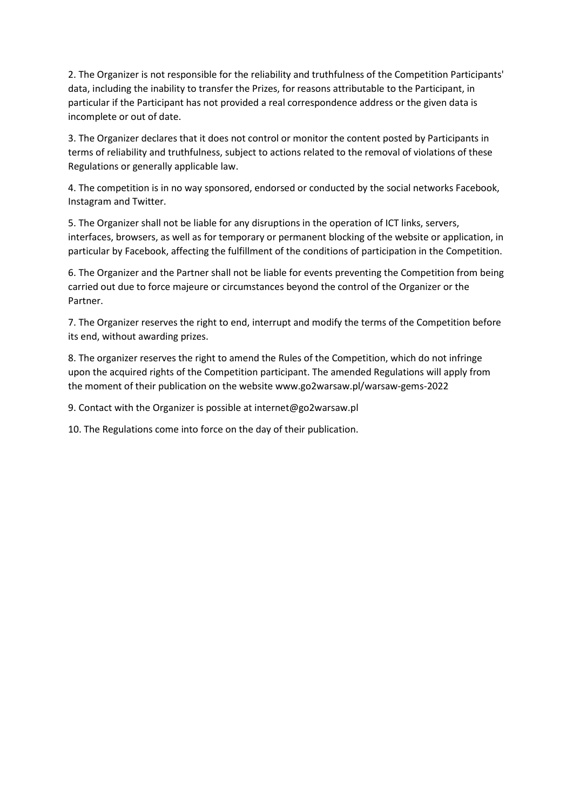2. The Organizer is not responsible for the reliability and truthfulness of the Competition Participants' data, including the inability to transfer the Prizes, for reasons attributable to the Participant, in particular if the Participant has not provided a real correspondence address or the given data is incomplete or out of date.

3. The Organizer declares that it does not control or monitor the content posted by Participants in terms of reliability and truthfulness, subject to actions related to the removal of violations of these Regulations or generally applicable law.

4. The competition is in no way sponsored, endorsed or conducted by the social networks Facebook, Instagram and Twitter.

5. The Organizer shall not be liable for any disruptions in the operation of ICT links, servers, interfaces, browsers, as well as for temporary or permanent blocking of the website or application, in particular by Facebook, affecting the fulfillment of the conditions of participation in the Competition.

6. The Organizer and the Partner shall not be liable for events preventing the Competition from being carried out due to force majeure or circumstances beyond the control of the Organizer or the Partner.

7. The Organizer reserves the right to end, interrupt and modify the terms of the Competition before its end, without awarding prizes.

8. The organizer reserves the right to amend the Rules of the Competition, which do not infringe upon the acquired rights of the Competition participant. The amended Regulations will apply from the moment of their publication on the website www.go2warsaw.pl/warsaw-gems-2022

9. Contact with the Organizer is possible at internet@go2warsaw.pl

10. The Regulations come into force on the day of their publication.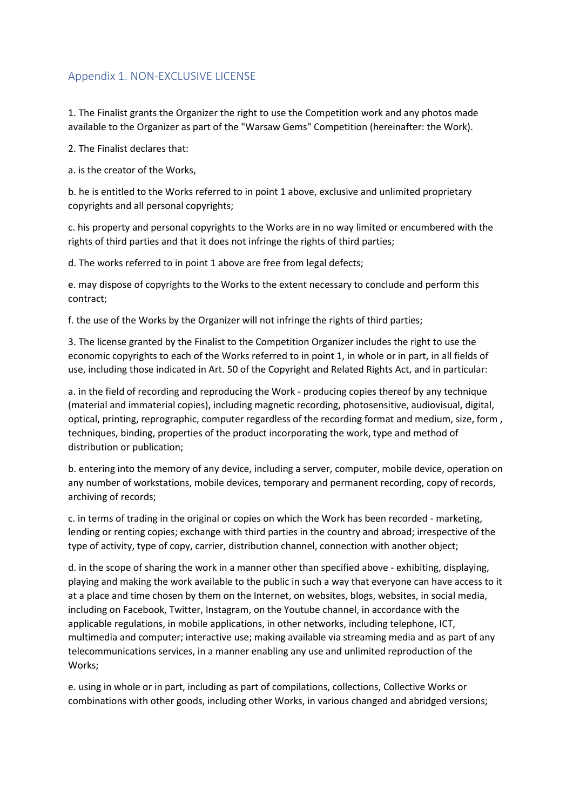## Appendix 1. NON-EXCLUSIVE LICENSE

1. The Finalist grants the Organizer the right to use the Competition work and any photos made available to the Organizer as part of the "Warsaw Gems" Competition (hereinafter: the Work).

2. The Finalist declares that:

a. is the creator of the Works,

b. he is entitled to the Works referred to in point 1 above, exclusive and unlimited proprietary copyrights and all personal copyrights;

c. his property and personal copyrights to the Works are in no way limited or encumbered with the rights of third parties and that it does not infringe the rights of third parties;

d. The works referred to in point 1 above are free from legal defects;

e. may dispose of copyrights to the Works to the extent necessary to conclude and perform this contract;

f. the use of the Works by the Organizer will not infringe the rights of third parties;

3. The license granted by the Finalist to the Competition Organizer includes the right to use the economic copyrights to each of the Works referred to in point 1, in whole or in part, in all fields of use, including those indicated in Art. 50 of the Copyright and Related Rights Act, and in particular:

a. in the field of recording and reproducing the Work - producing copies thereof by any technique (material and immaterial copies), including magnetic recording, photosensitive, audiovisual, digital, optical, printing, reprographic, computer regardless of the recording format and medium, size, form , techniques, binding, properties of the product incorporating the work, type and method of distribution or publication;

b. entering into the memory of any device, including a server, computer, mobile device, operation on any number of workstations, mobile devices, temporary and permanent recording, copy of records, archiving of records;

c. in terms of trading in the original or copies on which the Work has been recorded - marketing, lending or renting copies; exchange with third parties in the country and abroad; irrespective of the type of activity, type of copy, carrier, distribution channel, connection with another object;

d. in the scope of sharing the work in a manner other than specified above - exhibiting, displaying, playing and making the work available to the public in such a way that everyone can have access to it at a place and time chosen by them on the Internet, on websites, blogs, websites, in social media, including on Facebook, Twitter, Instagram, on the Youtube channel, in accordance with the applicable regulations, in mobile applications, in other networks, including telephone, ICT, multimedia and computer; interactive use; making available via streaming media and as part of any telecommunications services, in a manner enabling any use and unlimited reproduction of the Works;

e. using in whole or in part, including as part of compilations, collections, Collective Works or combinations with other goods, including other Works, in various changed and abridged versions;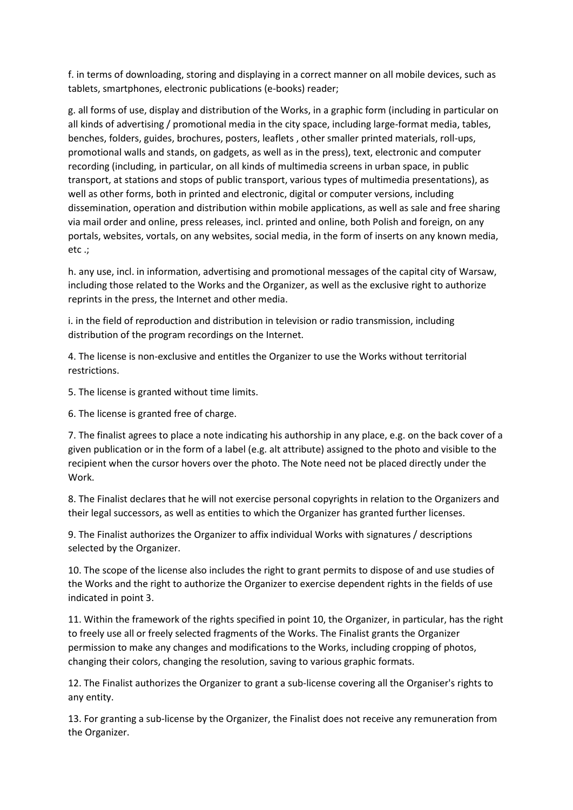f. in terms of downloading, storing and displaying in a correct manner on all mobile devices, such as tablets, smartphones, electronic publications (e-books) reader;

g. all forms of use, display and distribution of the Works, in a graphic form (including in particular on all kinds of advertising / promotional media in the city space, including large-format media, tables, benches, folders, guides, brochures, posters, leaflets , other smaller printed materials, roll-ups, promotional walls and stands, on gadgets, as well as in the press), text, electronic and computer recording (including, in particular, on all kinds of multimedia screens in urban space, in public transport, at stations and stops of public transport, various types of multimedia presentations), as well as other forms, both in printed and electronic, digital or computer versions, including dissemination, operation and distribution within mobile applications, as well as sale and free sharing via mail order and online, press releases, incl. printed and online, both Polish and foreign, on any portals, websites, vortals, on any websites, social media, in the form of inserts on any known media, etc .;

h. any use, incl. in information, advertising and promotional messages of the capital city of Warsaw, including those related to the Works and the Organizer, as well as the exclusive right to authorize reprints in the press, the Internet and other media.

i. in the field of reproduction and distribution in television or radio transmission, including distribution of the program recordings on the Internet.

4. The license is non-exclusive and entitles the Organizer to use the Works without territorial restrictions.

5. The license is granted without time limits.

6. The license is granted free of charge.

7. The finalist agrees to place a note indicating his authorship in any place, e.g. on the back cover of a given publication or in the form of a label (e.g. alt attribute) assigned to the photo and visible to the recipient when the cursor hovers over the photo. The Note need not be placed directly under the Work.

8. The Finalist declares that he will not exercise personal copyrights in relation to the Organizers and their legal successors, as well as entities to which the Organizer has granted further licenses.

9. The Finalist authorizes the Organizer to affix individual Works with signatures / descriptions selected by the Organizer.

10. The scope of the license also includes the right to grant permits to dispose of and use studies of the Works and the right to authorize the Organizer to exercise dependent rights in the fields of use indicated in point 3.

11. Within the framework of the rights specified in point 10, the Organizer, in particular, has the right to freely use all or freely selected fragments of the Works. The Finalist grants the Organizer permission to make any changes and modifications to the Works, including cropping of photos, changing their colors, changing the resolution, saving to various graphic formats.

12. The Finalist authorizes the Organizer to grant a sub-license covering all the Organiser's rights to any entity.

13. For granting a sub-license by the Organizer, the Finalist does not receive any remuneration from the Organizer.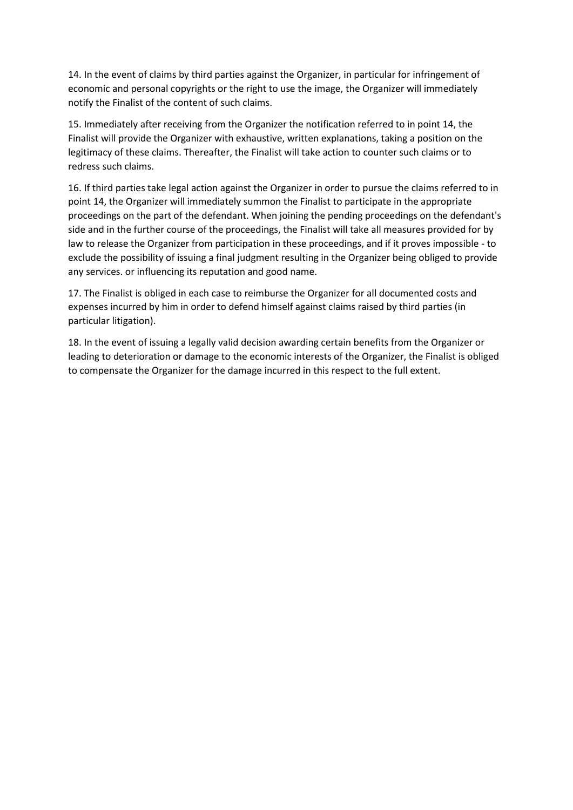14. In the event of claims by third parties against the Organizer, in particular for infringement of economic and personal copyrights or the right to use the image, the Organizer will immediately notify the Finalist of the content of such claims.

15. Immediately after receiving from the Organizer the notification referred to in point 14, the Finalist will provide the Organizer with exhaustive, written explanations, taking a position on the legitimacy of these claims. Thereafter, the Finalist will take action to counter such claims or to redress such claims.

16. If third parties take legal action against the Organizer in order to pursue the claims referred to in point 14, the Organizer will immediately summon the Finalist to participate in the appropriate proceedings on the part of the defendant. When joining the pending proceedings on the defendant's side and in the further course of the proceedings, the Finalist will take all measures provided for by law to release the Organizer from participation in these proceedings, and if it proves impossible - to exclude the possibility of issuing a final judgment resulting in the Organizer being obliged to provide any services. or influencing its reputation and good name.

17. The Finalist is obliged in each case to reimburse the Organizer for all documented costs and expenses incurred by him in order to defend himself against claims raised by third parties (in particular litigation).

18. In the event of issuing a legally valid decision awarding certain benefits from the Organizer or leading to deterioration or damage to the economic interests of the Organizer, the Finalist is obliged to compensate the Organizer for the damage incurred in this respect to the full extent.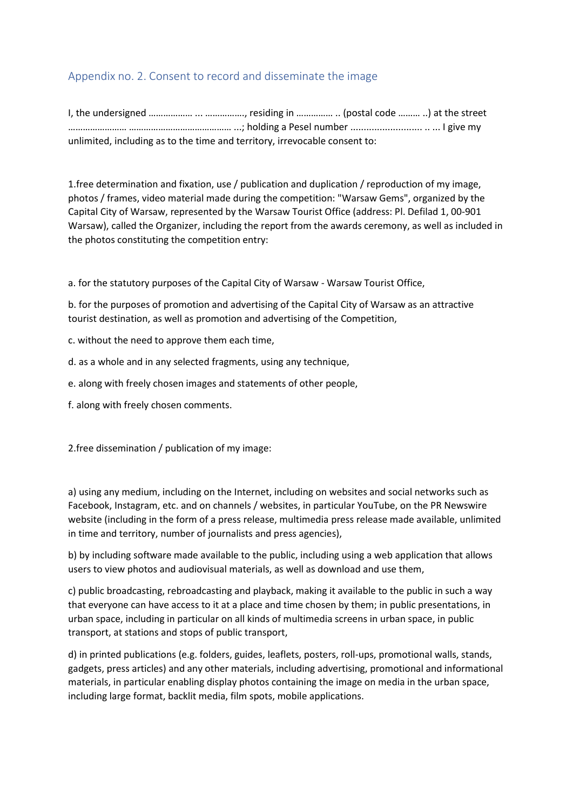# Appendix no. 2. Consent to record and disseminate the image

I, the undersigned ……………… ... ……………., residing in …………… .. (postal code ……… ..) at the street …………………… …………………………………… ...; holding a Pesel number ........................... .. ... I give my unlimited, including as to the time and territory, irrevocable consent to:

1.free determination and fixation, use / publication and duplication / reproduction of my image, photos / frames, video material made during the competition: "Warsaw Gems", organized by the Capital City of Warsaw, represented by the Warsaw Tourist Office (address: Pl. Defilad 1, 00-901 Warsaw), called the Organizer, including the report from the awards ceremony, as well as included in the photos constituting the competition entry:

a. for the statutory purposes of the Capital City of Warsaw - Warsaw Tourist Office,

b. for the purposes of promotion and advertising of the Capital City of Warsaw as an attractive tourist destination, as well as promotion and advertising of the Competition,

c. without the need to approve them each time,

- d. as a whole and in any selected fragments, using any technique,
- e. along with freely chosen images and statements of other people,
- f. along with freely chosen comments.

2.free dissemination / publication of my image:

a) using any medium, including on the Internet, including on websites and social networks such as Facebook, Instagram, etc. and on channels / websites, in particular YouTube, on the PR Newswire website (including in the form of a press release, multimedia press release made available, unlimited in time and territory, number of journalists and press agencies),

b) by including software made available to the public, including using a web application that allows users to view photos and audiovisual materials, as well as download and use them,

c) public broadcasting, rebroadcasting and playback, making it available to the public in such a way that everyone can have access to it at a place and time chosen by them; in public presentations, in urban space, including in particular on all kinds of multimedia screens in urban space, in public transport, at stations and stops of public transport,

d) in printed publications (e.g. folders, guides, leaflets, posters, roll-ups, promotional walls, stands, gadgets, press articles) and any other materials, including advertising, promotional and informational materials, in particular enabling display photos containing the image on media in the urban space, including large format, backlit media, film spots, mobile applications.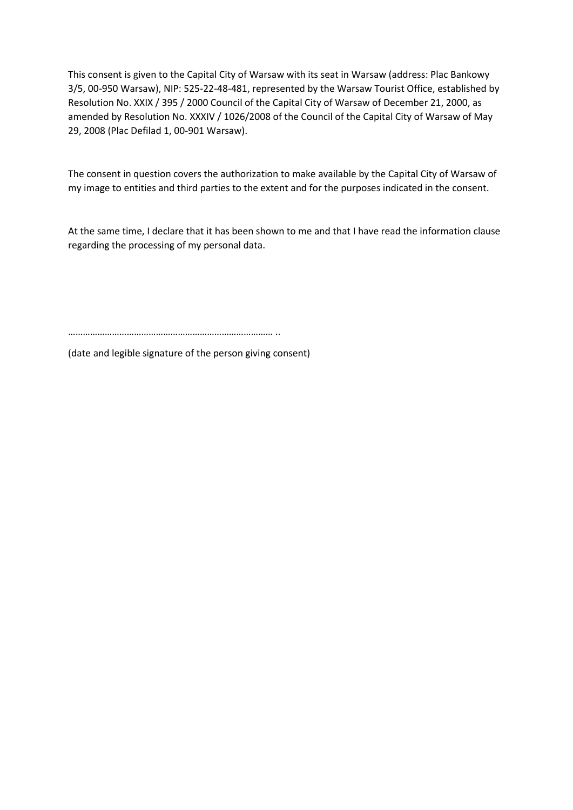This consent is given to the Capital City of Warsaw with its seat in Warsaw (address: Plac Bankowy 3/5, 00-950 Warsaw), NIP: 525-22-48-481, represented by the Warsaw Tourist Office, established by Resolution No. XXIX / 395 / 2000 Council of the Capital City of Warsaw of December 21, 2000, as amended by Resolution No. XXXIV / 1026/2008 of the Council of the Capital City of Warsaw of May 29, 2008 (Plac Defilad 1, 00-901 Warsaw).

The consent in question covers the authorization to make available by the Capital City of Warsaw of my image to entities and third parties to the extent and for the purposes indicated in the consent.

At the same time, I declare that it has been shown to me and that I have read the information clause regarding the processing of my personal data.

………………………………………………………………………… ..

(date and legible signature of the person giving consent)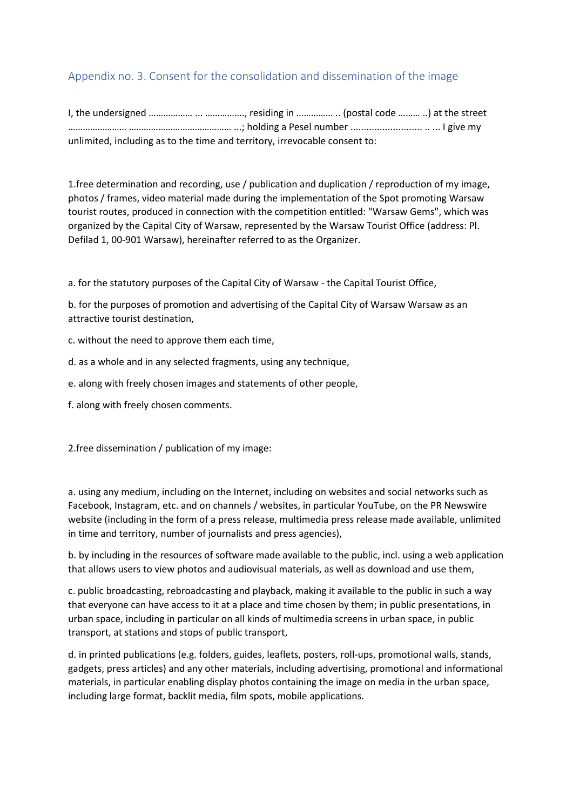# Appendix no. 3. Consent for the consolidation and dissemination of the image

I, the undersigned ……………… ... ……………., residing in …………… .. (postal code ……… ..) at the street …………………… …………………………………… ...; holding a Pesel number ........................... .. ... I give my unlimited, including as to the time and territory, irrevocable consent to:

1.free determination and recording, use / publication and duplication / reproduction of my image, photos / frames, video material made during the implementation of the Spot promoting Warsaw tourist routes, produced in connection with the competition entitled: "Warsaw Gems", which was organized by the Capital City of Warsaw, represented by the Warsaw Tourist Office (address: Pl. Defilad 1, 00-901 Warsaw), hereinafter referred to as the Organizer.

a. for the statutory purposes of the Capital City of Warsaw - the Capital Tourist Office,

b. for the purposes of promotion and advertising of the Capital City of Warsaw Warsaw as an attractive tourist destination,

c. without the need to approve them each time,

d. as a whole and in any selected fragments, using any technique,

e. along with freely chosen images and statements of other people,

f. along with freely chosen comments.

2.free dissemination / publication of my image:

a. using any medium, including on the Internet, including on websites and social networks such as Facebook, Instagram, etc. and on channels / websites, in particular YouTube, on the PR Newswire website (including in the form of a press release, multimedia press release made available, unlimited in time and territory, number of journalists and press agencies),

b. by including in the resources of software made available to the public, incl. using a web application that allows users to view photos and audiovisual materials, as well as download and use them,

c. public broadcasting, rebroadcasting and playback, making it available to the public in such a way that everyone can have access to it at a place and time chosen by them; in public presentations, in urban space, including in particular on all kinds of multimedia screens in urban space, in public transport, at stations and stops of public transport,

d. in printed publications (e.g. folders, guides, leaflets, posters, roll-ups, promotional walls, stands, gadgets, press articles) and any other materials, including advertising, promotional and informational materials, in particular enabling display photos containing the image on media in the urban space, including large format, backlit media, film spots, mobile applications.